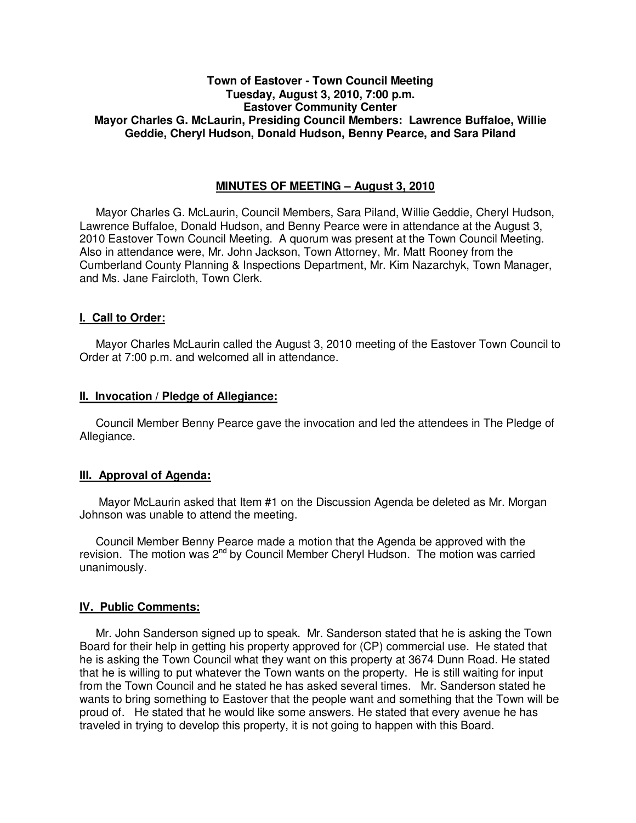# **Town of Eastover - Town Council Meeting Tuesday, August 3, 2010, 7:00 p.m. Eastover Community Center Mayor Charles G. McLaurin, Presiding Council Members: Lawrence Buffaloe, Willie Geddie, Cheryl Hudson, Donald Hudson, Benny Pearce, and Sara Piland**

# **MINUTES OF MEETING – August 3, 2010**

Mayor Charles G. McLaurin, Council Members, Sara Piland, Willie Geddie, Cheryl Hudson, Lawrence Buffaloe, Donald Hudson, and Benny Pearce were in attendance at the August 3, 2010 Eastover Town Council Meeting. A quorum was present at the Town Council Meeting. Also in attendance were, Mr. John Jackson, Town Attorney, Mr. Matt Rooney from the Cumberland County Planning & Inspections Department, Mr. Kim Nazarchyk, Town Manager, and Ms. Jane Faircloth, Town Clerk.

### **I. Call to Order:**

Mayor Charles McLaurin called the August 3, 2010 meeting of the Eastover Town Council to Order at 7:00 p.m. and welcomed all in attendance.

# **II. Invocation / Pledge of Allegiance:**

 Council Member Benny Pearce gave the invocation and led the attendees in The Pledge of Allegiance.

# **III. Approval of Agenda:**

 Mayor McLaurin asked that Item #1 on the Discussion Agenda be deleted as Mr. Morgan Johnson was unable to attend the meeting.

 Council Member Benny Pearce made a motion that the Agenda be approved with the revision. The motion was 2<sup>nd</sup> by Council Member Cheryl Hudson. The motion was carried unanimously.

# **IV. Public Comments:**

 Mr. John Sanderson signed up to speak. Mr. Sanderson stated that he is asking the Town Board for their help in getting his property approved for (CP) commercial use. He stated that he is asking the Town Council what they want on this property at 3674 Dunn Road. He stated that he is willing to put whatever the Town wants on the property. He is still waiting for input from the Town Council and he stated he has asked several times. Mr. Sanderson stated he wants to bring something to Eastover that the people want and something that the Town will be proud of. He stated that he would like some answers. He stated that every avenue he has traveled in trying to develop this property, it is not going to happen with this Board.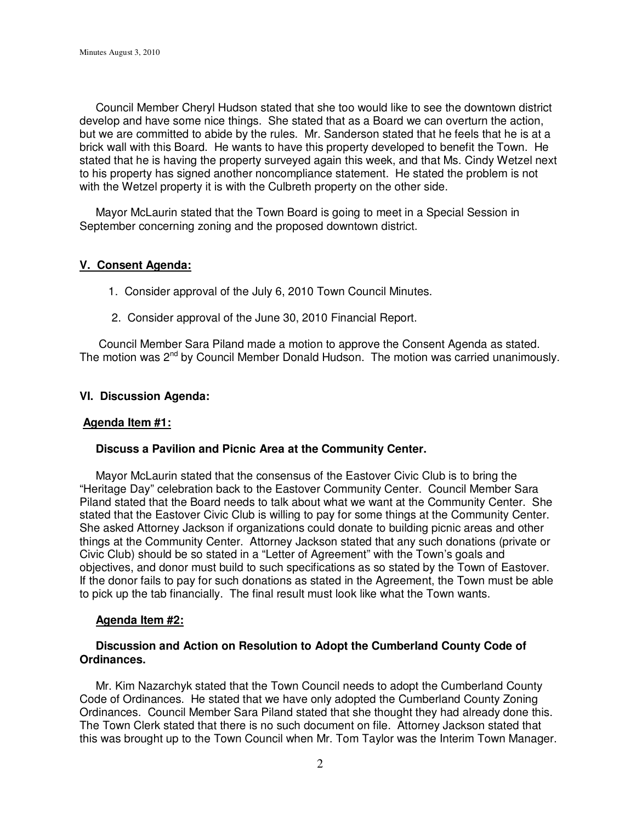Council Member Cheryl Hudson stated that she too would like to see the downtown district develop and have some nice things. She stated that as a Board we can overturn the action, but we are committed to abide by the rules. Mr. Sanderson stated that he feels that he is at a brick wall with this Board. He wants to have this property developed to benefit the Town. He stated that he is having the property surveyed again this week, and that Ms. Cindy Wetzel next to his property has signed another noncompliance statement. He stated the problem is not with the Wetzel property it is with the Culbreth property on the other side.

 Mayor McLaurin stated that the Town Board is going to meet in a Special Session in September concerning zoning and the proposed downtown district.

### **V. Consent Agenda:**

- 1. Consider approval of the July 6, 2010 Town Council Minutes.
- 2. Consider approval of the June 30, 2010 Financial Report.

 Council Member Sara Piland made a motion to approve the Consent Agenda as stated. The motion was 2<sup>nd</sup> by Council Member Donald Hudson. The motion was carried unanimously.

### **VI. Discussion Agenda:**

#### **Agenda Item #1:**

#### **Discuss a Pavilion and Picnic Area at the Community Center.**

 Mayor McLaurin stated that the consensus of the Eastover Civic Club is to bring the "Heritage Day" celebration back to the Eastover Community Center. Council Member Sara Piland stated that the Board needs to talk about what we want at the Community Center. She stated that the Eastover Civic Club is willing to pay for some things at the Community Center. She asked Attorney Jackson if organizations could donate to building picnic areas and other things at the Community Center. Attorney Jackson stated that any such donations (private or Civic Club) should be so stated in a "Letter of Agreement" with the Town's goals and objectives, and donor must build to such specifications as so stated by the Town of Eastover. If the donor fails to pay for such donations as stated in the Agreement, the Town must be able to pick up the tab financially. The final result must look like what the Town wants.

#### **Agenda Item #2:**

# **Discussion and Action on Resolution to Adopt the Cumberland County Code of Ordinances.**

Mr. Kim Nazarchyk stated that the Town Council needs to adopt the Cumberland County Code of Ordinances. He stated that we have only adopted the Cumberland County Zoning Ordinances. Council Member Sara Piland stated that she thought they had already done this. The Town Clerk stated that there is no such document on file. Attorney Jackson stated that this was brought up to the Town Council when Mr. Tom Taylor was the Interim Town Manager.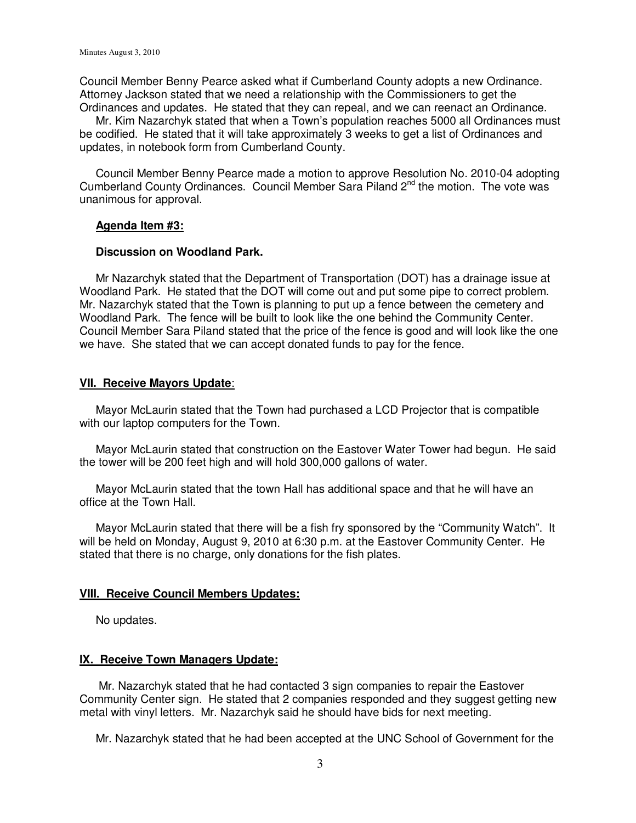Council Member Benny Pearce asked what if Cumberland County adopts a new Ordinance. Attorney Jackson stated that we need a relationship with the Commissioners to get the Ordinances and updates. He stated that they can repeal, and we can reenact an Ordinance.

 Mr. Kim Nazarchyk stated that when a Town's population reaches 5000 all Ordinances must be codified. He stated that it will take approximately 3 weeks to get a list of Ordinances and updates, in notebook form from Cumberland County.

 Council Member Benny Pearce made a motion to approve Resolution No. 2010-04 adopting Cumberland County Ordinances. Council Member Sara Piland 2nd the motion. The vote was unanimous for approval.

### **Agenda Item #3:**

# **Discussion on Woodland Park.**

 Mr Nazarchyk stated that the Department of Transportation (DOT) has a drainage issue at Woodland Park. He stated that the DOT will come out and put some pipe to correct problem. Mr. Nazarchyk stated that the Town is planning to put up a fence between the cemetery and Woodland Park. The fence will be built to look like the one behind the Community Center. Council Member Sara Piland stated that the price of the fence is good and will look like the one we have. She stated that we can accept donated funds to pay for the fence.

#### **VII. Receive Mayors Update**:

 Mayor McLaurin stated that the Town had purchased a LCD Projector that is compatible with our laptop computers for the Town.

 Mayor McLaurin stated that construction on the Eastover Water Tower had begun. He said the tower will be 200 feet high and will hold 300,000 gallons of water.

 Mayor McLaurin stated that the town Hall has additional space and that he will have an office at the Town Hall.

 Mayor McLaurin stated that there will be a fish fry sponsored by the "Community Watch". It will be held on Monday, August 9, 2010 at 6:30 p.m. at the Eastover Community Center. He stated that there is no charge, only donations for the fish plates.

#### **VIII. Receive Council Members Updates:**

No updates.

# **IX. Receive Town Managers Update:**

 Mr. Nazarchyk stated that he had contacted 3 sign companies to repair the Eastover Community Center sign. He stated that 2 companies responded and they suggest getting new metal with vinyl letters. Mr. Nazarchyk said he should have bids for next meeting.

Mr. Nazarchyk stated that he had been accepted at the UNC School of Government for the